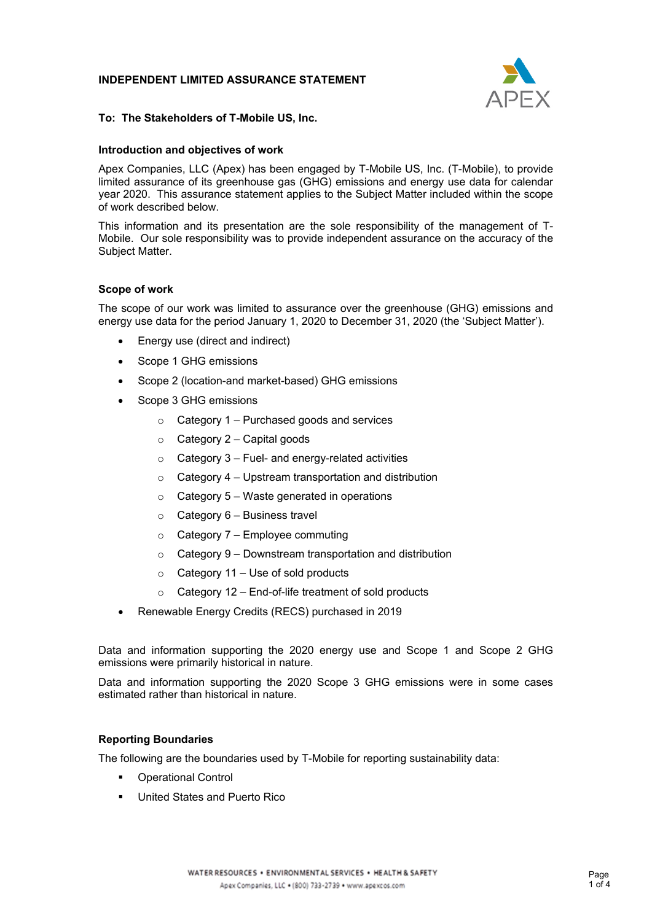# **INDEPENDENT LIMITED ASSURANCE STATEMENT**



## **To: The Stakeholders of T-Mobile US, Inc.**

### **Introduction and objectives of work**

Apex Companies, LLC (Apex) has been engaged by T-Mobile US, Inc. (T-Mobile), to provide limited assurance of its greenhouse gas (GHG) emissions and energy use data for calendar year 2020. This assurance statement applies to the Subject Matter included within the scope of work described below.

This information and its presentation are the sole responsibility of the management of T-Mobile. Our sole responsibility was to provide independent assurance on the accuracy of the Subject Matter.

#### **Scope of work**

The scope of our work was limited to assurance over the greenhouse (GHG) emissions and energy use data for the period January 1, 2020 to December 31, 2020 (the 'Subject Matter').

- Energy use (direct and indirect)
- Scope 1 GHG emissions
- Scope 2 (location-and market-based) GHG emissions
- Scope 3 GHG emissions
	- $\circ$  Category 1 Purchased goods and services
	- $\circ$  Category 2 Capital goods
	- $\circ$  Category 3 Fuel- and energy-related activities
	- $\circ$  Category 4 Upstream transportation and distribution
	- $\circ$  Category 5 Waste generated in operations
	- $\circ$  Category 6 Business travel
	- $\circ$  Category 7 Employee commuting
	- o Category 9 Downstream transportation and distribution
	- $\circ$  Category 11 Use of sold products
	- o Category 12 End-of-life treatment of sold products
- Renewable Energy Credits (RECS) purchased in 2019

Data and information supporting the 2020 energy use and Scope 1 and Scope 2 GHG emissions were primarily historical in nature.

Data and information supporting the 2020 Scope 3 GHG emissions were in some cases estimated rather than historical in nature.

#### **Reporting Boundaries**

The following are the boundaries used by T-Mobile for reporting sustainability data:

- Operational Control
- United States and Puerto Rico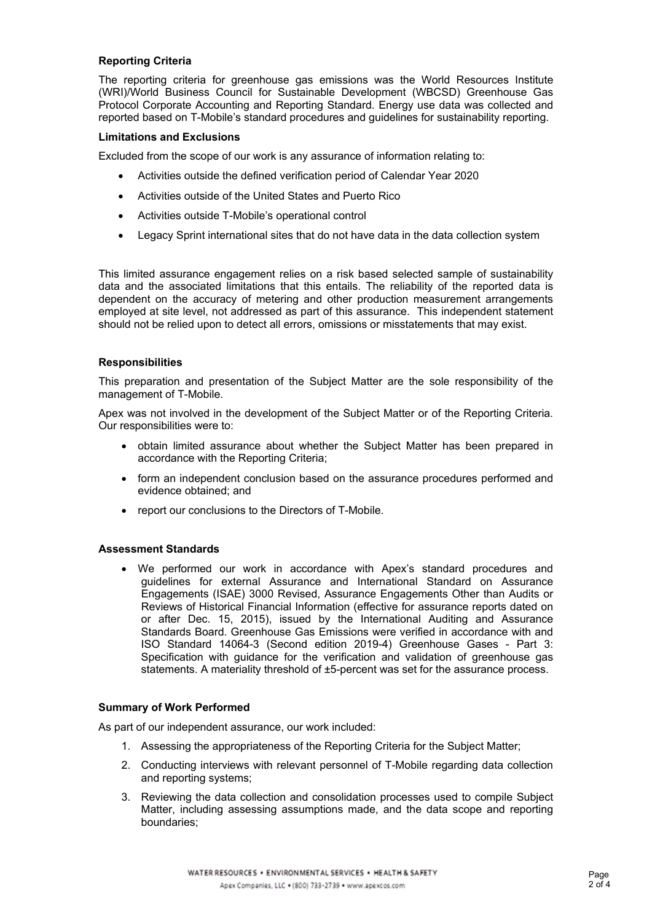## **Reporting Criteria**

The reporting criteria for greenhouse gas emissions was the World Resources Institute (WRI)/World Business Council for Sustainable Development (WBCSD) Greenhouse Gas Protocol Corporate Accounting and Reporting Standard. Energy use data was collected and reported based on T-Mobile's standard procedures and guidelines for sustainability reporting.

## **Limitations and Exclusions**

Excluded from the scope of our work is any assurance of information relating to:

- Activities outside the defined verification period of Calendar Year 2020
- Activities outside of the United States and Puerto Rico
- Activities outside T-Mobile's operational control
- Legacy Sprint international sites that do not have data in the data collection system

This limited assurance engagement relies on a risk based selected sample of sustainability data and the associated limitations that this entails. The reliability of the reported data is dependent on the accuracy of metering and other production measurement arrangements employed at site level, not addressed as part of this assurance. This independent statement should not be relied upon to detect all errors, omissions or misstatements that may exist.

### **Responsibilities**

This preparation and presentation of the Subject Matter are the sole responsibility of the management of T-Mobile.

Apex was not involved in the development of the Subject Matter or of the Reporting Criteria. Our responsibilities were to:

- obtain limited assurance about whether the Subject Matter has been prepared in accordance with the Reporting Criteria;
- form an independent conclusion based on the assurance procedures performed and evidence obtained; and
- report our conclusions to the Directors of T-Mobile.

### **Assessment Standards**

• We performed our work in accordance with Apex's standard procedures and guidelines for external Assurance and International Standard on Assurance Engagements (ISAE) 3000 Revised, Assurance Engagements Other than Audits or Reviews of Historical Financial Information (effective for assurance reports dated on or after Dec. 15, 2015), issued by the International Auditing and Assurance Standards Board. Greenhouse Gas Emissions were verified in accordance with and ISO Standard 14064-3 (Second edition 2019-4) Greenhouse Gases - Part 3: Specification with guidance for the verification and validation of greenhouse gas statements. A materiality threshold of ±5-percent was set for the assurance process.

#### **Summary of Work Performed**

As part of our independent assurance, our work included:

- 1. Assessing the appropriateness of the Reporting Criteria for the Subject Matter;
- 2. Conducting interviews with relevant personnel of T-Mobile regarding data collection and reporting systems;
- 3. Reviewing the data collection and consolidation processes used to compile Subject Matter, including assessing assumptions made, and the data scope and reporting boundaries;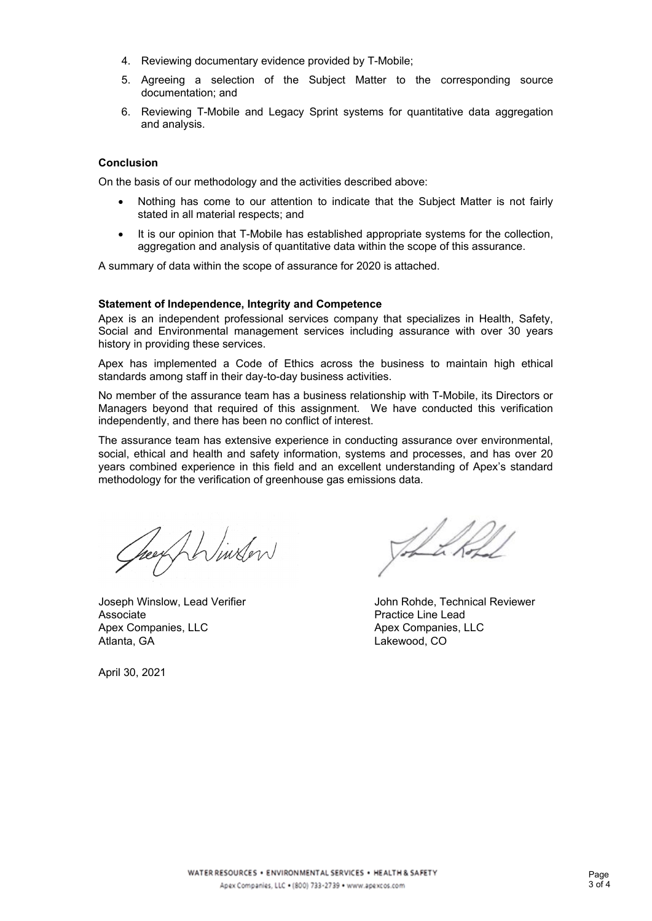- 4. Reviewing documentary evidence provided by T-Mobile;
- 5. Agreeing a selection of the Subject Matter to the corresponding source documentation; and
- 6. Reviewing T-Mobile and Legacy Sprint systems for quantitative data aggregation and analysis.

## **Conclusion**

On the basis of our methodology and the activities described above:

- Nothing has come to our attention to indicate that the Subject Matter is not fairly stated in all material respects; and
- It is our opinion that T-Mobile has established appropriate systems for the collection, aggregation and analysis of quantitative data within the scope of this assurance.

A summary of data within the scope of assurance for 2020 is attached.

#### **Statement of Independence, Integrity and Competence**

Apex is an independent professional services company that specializes in Health, Safety, Social and Environmental management services including assurance with over 30 years history in providing these services.

Apex has implemented a Code of Ethics across the business to maintain high ethical standards among staff in their day-to-day business activities.

No member of the assurance team has a business relationship with T-Mobile, its Directors or Managers beyond that required of this assignment. We have conducted this verification independently, and there has been no conflict of interest.

The assurance team has extensive experience in conducting assurance over environmental, social, ethical and health and safety information, systems and processes, and has over 20 years combined experience in this field and an excellent understanding of Apex's standard methodology for the verification of greenhouse gas emissions data.

heey filinter

Associate<br>
Apex Companies, LLC<br>
Apex Companies, LLC<br>
Apex Companies, LLC Apex Companies, LLC<br>Atlanta, GA

LL Kop

Joseph Winslow, Lead Verifier **John Rohde, Technical Reviewer** Lakewood, CO

April 30, 2021